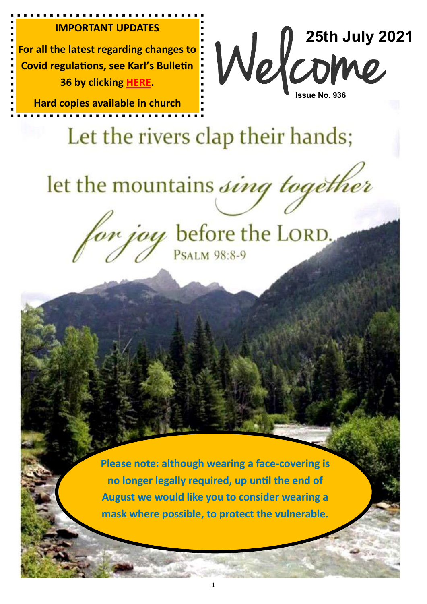#### **IMPORTANT UPDATES**

**For all the latest regarding changes to Covid regulations, see Karl's Bulletin 36 by clicking [HERE.](https://emmanuelplymouth.co.uk/Articles/615440/Lifting_Covid_Restrictions.aspx)**

**Hard copies available in church**

**25th July 2021 Issue No. 936**

# Let the rivers clap their hands;

let the mountains sing together

for joy before the LORD.

**Please note: although wearing a face-covering is no longer legally required, up until the end of August we would like you to consider wearing a mask where possible, to protect the vulnerable.**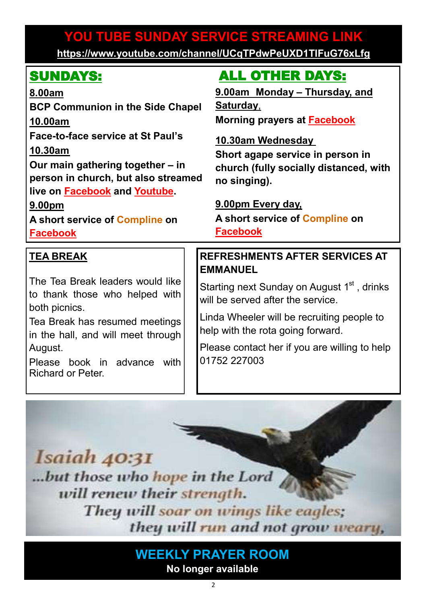# **YOU TUBE SUNDAY SERVICE STREAMING LINK YOU TUBE SUNDAY SERVICE STREAMING LINK**

**[https://www.youtube.com/channel/UCqTPdwPeUXD1TIFuG76xLfg](https://nam12.safelinks.protection.outlook.com/?url=https%3A%2F%2Fwww.youtube.com%2Fchannel%2FUCqTPdwPeUXD1TIFuG76xLfg&data=04%7C01%7C%7C98819de32b254e54143f08d89b609eed%7C84df9e7fe9f640afb435aaaaaaaaaaaa%7C1%7C0%7C637430186562964999%7CUnknown%7CTWFpbGZsb3d8e) <https://www.youtube.com/channel/UCqTPdwPeUXD1TIFuG76xLfg>**

| <b>SUNDAYS:</b>                                                                                             |  | <b>ALL OTHER DAYS:</b>                                                                       |
|-------------------------------------------------------------------------------------------------------------|--|----------------------------------------------------------------------------------------------|
| 8.00am                                                                                                      |  | 9.00am Monday - Thursday, and                                                                |
| <b>BCP Communion in the Side Chapel</b>                                                                     |  | <u>Saturday,</u>                                                                             |
| 10.00am                                                                                                     |  | Morning prayers at <b>Facebook</b>                                                           |
| Face-to-face service at St Paul's                                                                           |  | <u>10.30am Wednesday</u>                                                                     |
| 10.30am                                                                                                     |  | Short agape service in person in                                                             |
| Our main gathering together - in                                                                            |  | church (fully socially distanced, with                                                       |
| person in church, but also streamed                                                                         |  | no singing).                                                                                 |
| live on <b>Facebook</b> and <b>Youtube</b> .                                                                |  |                                                                                              |
| 9.00pm                                                                                                      |  | 9.00pm Every day,                                                                            |
| A short service of Compline on                                                                              |  | A short service of Compline on                                                               |
|                                                                                                             |  |                                                                                              |
| <b>Facebook</b>                                                                                             |  | <b>Facebook</b>                                                                              |
| <b>TEA BREAK</b>                                                                                            |  | <b>REFRESHMENTS AFTER SERVICES AT</b>                                                        |
|                                                                                                             |  | <b>EMMANUEL</b>                                                                              |
| The Tea Break leaders would like<br>to thank those who helped with                                          |  | Starting next Sunday on August 1 <sup>st</sup> , drinks<br>will be served after the service. |
| both picnics.<br>Tea Break has resumed meetings                                                             |  | Linda Wheeler will be recruiting people to<br>help with the rota going forward.              |
| in the hall, and will meet through<br>August.<br>Please book in advance<br>with<br><b>Richard or Peter.</b> |  | Please contact her if you are willing to help<br>01752 227003                                |



**WEEKLY PRAYER ROOM No longer available**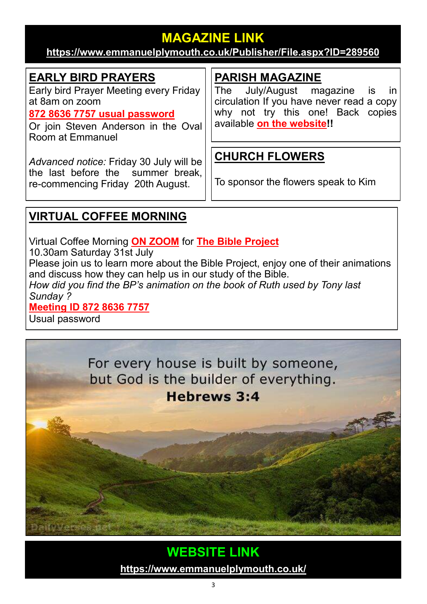# **MAGAZINE LINK**

#### **<https://www.emmanuelplymouth.co.uk/Publisher/File.aspx?ID=289560>**

## **EARLY BIRD PRAYERS**

Early bird Prayer Meeting every Friday at 8am on zoom

#### **[872 8636 7757 usual password](https://us02web.zoom.us/j/87286367757?pwd=d1RRYTVWNG5SMUNDMUhoRmY2RlNBUT09)**

Or join Steven Anderson in the Oval Room at Emmanuel

*Advanced notice:* Friday 30 July will be the last before the summer break, re-commencing Friday 20th August.

# **PARISH MAGAZINE**

The July/August magazine is in circulation If you have never read a copy why not try this one! Back copies available **[on the website!](https://emmanuelplymouth.co.uk/Articles/591892/Parish_Magazines.aspx)!**

# **CHURCH FLOWERS**

To sponsor the flowers speak to Kim

# **VIRTUAL COFFEE MORNING**

Virtual Coffee Morning **[ON ZOOM](https://us02web.zoom.us/j/87286367757?pwd=d1RRYTVWNG5SMUNDMUhoRmY2RlNBUT09)** for **[The Bible Project](https://bibleproject.com/)**

10.30am Saturday 31st July

Please join us to learn more about the Bible Project, enjoy one of their animations and discuss how they can help us in our study of the Bible.

*How did you find the BP's animation on the book of Ruth used by Tony last Sunday ?*

#### **[Meeting ID 872 8636 7757](https://us02web.zoom.us/j/87286367757?pwd=d1RRYTVWNG5SMUNDMUhoRmY2RlNBUT09)**

Usual password



# **WEBSITE LINK**

**<https://www.emmanuelplymouth.co.uk/>**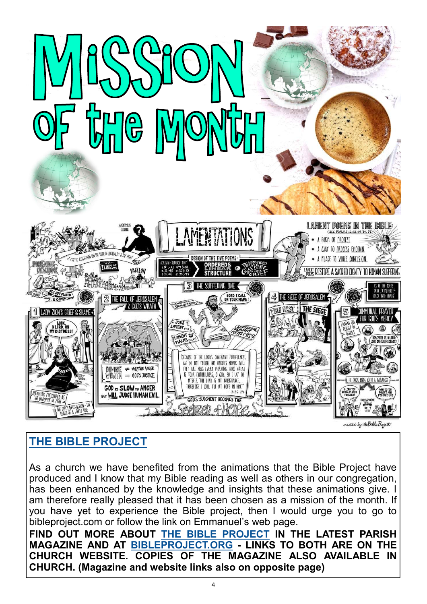

#### **[THE BIBLE PROJECT](https://bibleproject.com/)**

As a church we have benefited from the animations that the Bible Project have produced and I know that my Bible reading as well as others in our congregation, has been enhanced by the knowledge and insights that these animations give. I am therefore really pleased that it has been chosen as a mission of the month. If you have yet to experience the Bible project, then I would urge you to go to bibleproject.com or follow the link on Emmanuel's web page.

**FIND OUT MORE ABOUT [THE BIBLE PROJECT](https://bibleproject.com/) IN THE LATEST PARISH MAGAZINE AND AT [BIBLEPROJECT.ORG](https://bibleproject.com/) - LINKS TO BOTH ARE ON THE CHURCH WEBSITE. COPIES OF THE MAGAZINE ALSO AVAILABLE IN CHURCH. (Magazine and website links also on opposite page)**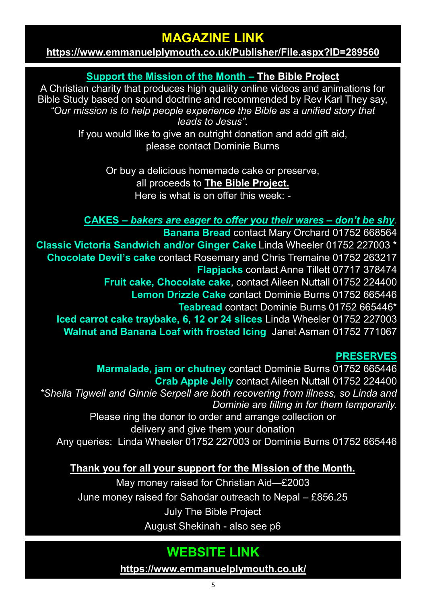# **MAGAZINE LINK**

#### **<https://www.emmanuelplymouth.co.uk/Publisher/File.aspx?ID=289560>**

#### **Support the Mission of the Month – [The Bible Project](https://bibleproject.com/)**

A Christian charity that produces high quality online videos and animations for Bible Study based on sound doctrine and recommended by Rev Karl They say, *"Our mission is to help people experience the Bible as a unified story that leads to Jesus".*

If you would like to give an outright donation and add gift aid, please contact Dominie Burns

> Or buy a delicious homemade cake or preserve, all proceeds to **[The Bible Project.](https://bibleproject.com/)** Here is what is on offer this week: -

#### **CAKES –** *bakers are eager to offer you their wares – don't be shy.*

**Banana Bread** contact Mary Orchard 01752 668564 **Classic Victoria Sandwich and/or Ginger Cake** Linda Wheeler 01752 227003 \* **Chocolate Devil's cake** contact Rosemary and Chris Tremaine 01752 263217 **Flapjacks** contact Anne Tillett 07717 378474 **Fruit cake, Chocolate cake**, contact Aileen Nuttall 01752 224400 **Lemon Drizzle Cake** contact Dominie Burns 01752 665446 **Teabread** contact Dominie Burns 01752 665446\* **Iced carrot cake traybake, 6, 12 or 24 slices** Linda Wheeler 01752 227003 **Walnut and Banana Loaf with frosted Icing** Janet Asman 01752 771067

#### **PRESERVES**

**Marmalade, jam or chutney** contact Dominie Burns 01752 665446 **Crab Apple Jelly** contact Aileen Nuttall 01752 224400 *\*Sheila Tigwell and Ginnie Serpell are both recovering from illness, so Linda and Dominie are filling in for them temporarily.*  Please ring the donor to order and arrange collection or delivery and give them your donation Any queries: Linda Wheeler 01752 227003 or Dominie Burns 01752 665446

#### **Thank you for all your support for the Mission of the Month.**

May money raised for Christian Aid—£2003 June money raised for Sahodar outreach to Nepal – £856.25 July The Bible Project August Shekinah - also see p6

# **WEBSITE LINK**

**<https://www.emmanuelplymouth.co.uk/>**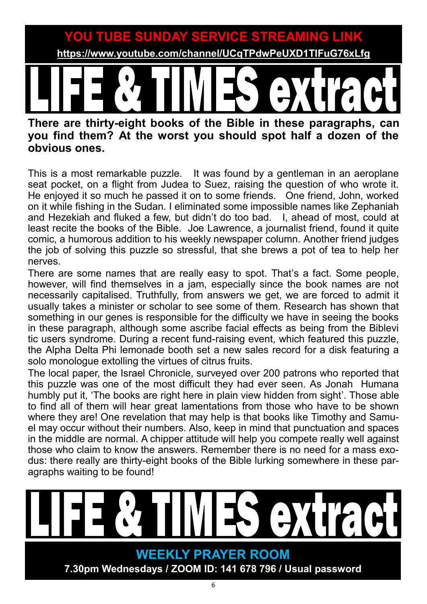**YOU TUBE SUNDAY SERVICE STREAMING LINK YOU TUBE SUNDAY SERVICE STREAMING LINK**

**[https://www.youtube.com/channel/UCqTPdwPeUXD1TIFuG76xLfg](https://nam12.safelinks.protection.outlook.com/?url=https%3A%2F%2Fwww.youtube.com%2Fchannel%2FUCqTPdwPeUXD1TIFuG76xLfg&data=04%7C01%7C%7C98819de32b254e54143f08d89b609eed%7C84df9e7fe9f640afb435aaaaaaaaaaaa%7C1%7C0%7C637430186562964999%7CUnknown%7CTWFpbGZsb3d8e) <https://www.youtube.com/channel/UCqTPdwPeUXD1TIFuG76xLfg>**

# **There are thirty-eight books of the Bible in these paragraphs, can**

# **you find them? At the worst you should spot half a dozen of the obvious ones.**

This is a most remarkable puzzle. It was found by a gentleman in an aeroplane seat pocket, on a flight from Judea to Suez, raising the question of who wrote it. He enjoyed it so much he passed it on to some friends. One friend, John, worked on it while fishing in the Sudan. I eliminated some impossible names like Zephaniah and Hezekiah and fluked a few, but didn't do too bad. I, ahead of most, could at least recite the books of the Bible. Joe Lawrence, a journalist friend, found it quite comic, a humorous addition to his weekly newspaper column. Another friend judges the job of solving this puzzle so stressful, that she brews a pot of tea to help her nerves.

There are some names that are really easy to spot. That's a fact. Some people, however, will find themselves in a jam, especially since the book names are not necessarily capitalised. Truthfully, from answers we get, we are forced to admit it usually takes a minister or scholar to see some of them. Research has shown that something in our genes is responsible for the difficulty we have in seeing the books in these paragraph, although some ascribe facial effects as being from the Biblevi tic users syndrome. During a recent fund-raising event, which featured this puzzle, the Alpha Delta Phi lemonade booth set a new sales record for a disk featuring a solo monologue extolling the virtues of citrus fruits.

The local paper, the Israel Chronicle, surveyed over 200 patrons who reported that this puzzle was one of the most difficult they had ever seen. As Jonah Humana humbly put it, 'The books are right here in plain view hidden from sight'. Those able to find all of them will hear great lamentations from those who have to be shown where they are! One revelation that may help is that books like Timothy and Samuel may occur without their numbers. Also, keep in mind that punctuation and spaces in the middle are normal. A chipper attitude will help you compete really well against those who claim to know the answers. Remember there is no need for a mass exodus: there really are thirty-eight books of the Bible lurking somewhere in these paragraphs waiting to be found!

# **WEEKLY PRAYER ROOM 7.30pm Wednesdays / ZOOM ID: 141 678 796 / Usual password**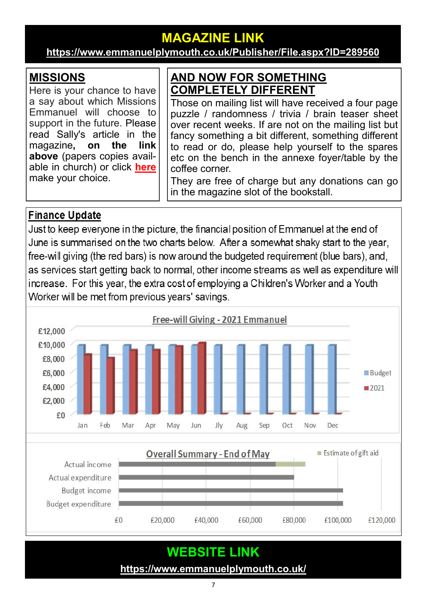# **MAGAZINE LINK**

#### **<https://www.emmanuelplymouth.co.uk/Publisher/File.aspx?ID=289560>**

#### **MISSIONS**

Here is your chance to have a say about which Missions Emmanuel will choose to support in the future. Please read Sally's article in the magazine**, on the link above** (papers copies available in church) or click **[here](https://emmanuelplymouth.co.uk/Articles/610757/Mission_Ministry.aspx)** make your choice.

#### **AND NOW FOR SOMETHING COMPLETELY DIFFERENT**

Those on mailing list will have received a four page puzzle / randomness / trivia / brain teaser sheet over recent weeks. If are not on the mailing list but fancy something a bit different, something different to read or do, please help yourself to the spares etc on the bench in the annexe foyer/table by the coffee corner.

They are free of charge but any donations can go in the magazine slot of the bookstall.

#### **Finance Update**

Just to keep everyone in the picture, the financial position of Emmanuel at the end of June is summarised on the two charts below. After a somewhat shaky start to the year, free-will giving (the red bars) is now around the budgeted requirement (blue bars), and, as services start getting back to normal, other income streams as well as expenditure will increase. For this year, the extra cost of employing a Children's Worker and a Youth Worker will be met from previous years' savings.



# **WEBSITE LINK**

**<https://www.emmanuelplymouth.co.uk/>**